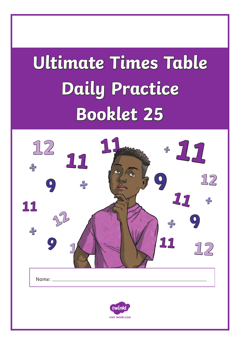# **Ultimate Times Table Daily Practice Booklet 25**

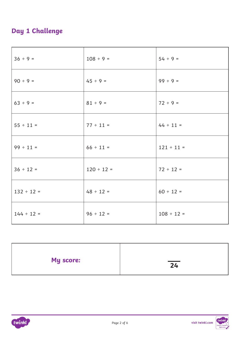## **Day 1 Challenge**

| $36 ÷ 9 =$      | $108 \div 9 =$  | $54 ÷ 9 =$      |
|-----------------|-----------------|-----------------|
| $90 \div 9 =$   | $45 \div 9 =$   | $99 ÷ 9 =$      |
| $63 ÷ 9 =$      | $81 \div 9 =$   | $72 ÷ 9 =$      |
| $55 \div 11 =$  | $77 \div 11 =$  | $44 \div 11 =$  |
| $99 \div 11 =$  | $66 \div 11 =$  | $121 \div 11 =$ |
| $36 \div 12 =$  | $120 \div 12 =$ | $72 \div 12 =$  |
| $132 \div 12 =$ | $48 \div 12 =$  | $60 \div 12 =$  |
| $144 \div 12 =$ | $96 \div 12 =$  | $108 \div 12 =$ |

| My score: | $\overline{24}$ |
|-----------|-----------------|
|           |                 |

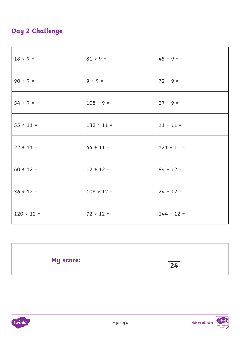## **Day 2 Challenge**

| $18 \div 9 =$   | $81 \div 9 =$   | $45 \div 9 =$   |
|-----------------|-----------------|-----------------|
| $90 \div 9 =$   | $9 ÷ 9 =$       | $72 ÷ 9 =$      |
| $54 ÷ 9 =$      | $108 \div 9 =$  | $27 ÷ 9 =$      |
| $55 \div 11 =$  | $132 \div 11 =$ | $11 \div 11 =$  |
| $22 \div 11 =$  | $44 \div 11 =$  | $121 \div 11 =$ |
| $60 \div 12 =$  | $12 \div 12 =$  | $84 \div 12 =$  |
| $36 \div 12 =$  | $108 \div 12 =$ | $24 \div 12 =$  |
| $120 \div 12 =$ | $72 \div 12 =$  | $144 \div 12 =$ |

| My score: | and the control of the con-<br>24 |
|-----------|-----------------------------------|
|           |                                   |



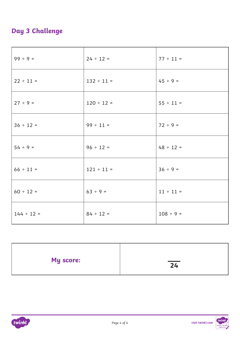## **Day 3 Challenge**

| $99 ÷ 9 =$      | $24 \div 12 =$  | $77 \div 11 =$ |
|-----------------|-----------------|----------------|
| $22 \div 11 =$  | $132 \div 11 =$ | $45 \div 9 =$  |
| $27 ÷ 9 =$      | $120 \div 12 =$ | $55 \div 11 =$ |
| $36 \div 12 =$  | $99 \div 11 =$  | $72 \div 9 =$  |
| $54 ÷ 9 =$      | $96 \div 12 =$  | $48 \div 12 =$ |
| $66 \div 11 =$  | $121 \div 11 =$ | $36 ÷ 9 =$     |
| $60 \div 12 =$  | $63 ÷ 9 =$      | $11 \div 11 =$ |
| $144 \div 12 =$ | $84 \div 12 =$  | $108 \div 9 =$ |

| My score: | and the control of the con-<br>24 |
|-----------|-----------------------------------|
|           |                                   |

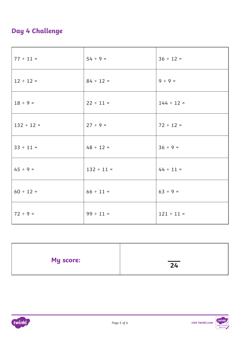### **Day 4 Challenge**

| $77 \div 11 =$  | $54 ÷ 9 =$      | $36 \div 12 =$  |
|-----------------|-----------------|-----------------|
| $12 \div 12 =$  | $84 \div 12 =$  | $9 ÷ 9 =$       |
| $18 \div 9 =$   | $22 \div 11 =$  | $144 \div 12 =$ |
| $132 \div 12 =$ | $27 ÷ 9 =$      | $72 \div 12 =$  |
| $33 \div 11 =$  | $48 \div 12 =$  | $36 ÷ 9 =$      |
| $45 \div 9 =$   | $132 \div 11 =$ | $44 \div 11 =$  |
| $60 \div 12 =$  | $66 \div 11 =$  | $63 ÷ 9 =$      |
| $72 ÷ 9 =$      | $99 \div 11 =$  | $121 \div 11 =$ |

| My score: | 24 |
|-----------|----|
|           |    |